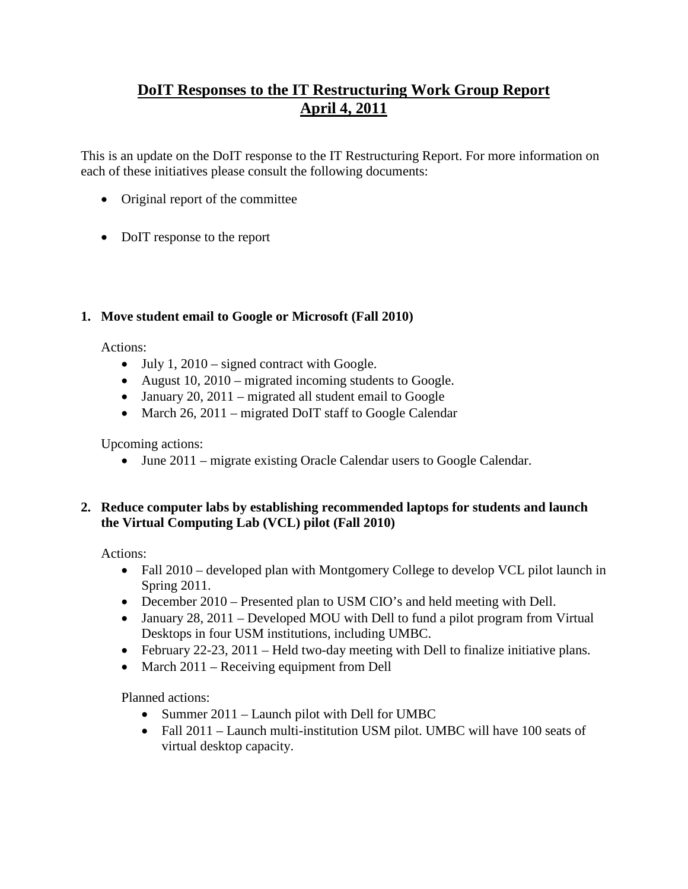# **DoIT Responses to the IT Restructuring Work Group Report April 4, 2011**

This is an update on the DoIT response to the IT Restructuring Report. For more information on each of these initiatives please consult the following documents:

- [Original report of the committee](http://provost.umbc.edu/files/2012/10/ReportoftheITRestructuringWorkGroupFinal352010.pdf)
- [DoIT response to the report](http://provost.umbc.edu/files/2015/07/DoITResponsestotheITRestructuringWorkGroupReport62310.pdf)

## **1. Move student email to Google or Microsoft (Fall 2010)**

Actions:

- July 1,  $2010 -$  signed contract with Google.
- August 10, 2010 migrated incoming students to Google.
- January 20, 2011 migrated all student email to Google
- March 26, 2011 migrated DoIT staff to Google Calendar

Upcoming actions:

• June 2011 – migrate existing Oracle Calendar users to Google Calendar.

#### **2. Reduce computer labs by establishing recommended laptops for students and launch the Virtual Computing Lab (VCL) pilot (Fall 2010)**

Actions:

- Fall 2010 developed plan with Montgomery College to develop VCL pilot launch in Spring 2011.
- December 2010 Presented plan to USM CIO's and held meeting with Dell.
- January 28, 2011 Developed MOU with Dell to fund a pilot program from Virtual Desktops in four USM institutions, including UMBC.
- February 22-23, 2011 Held two-day meeting with Dell to finalize initiative plans.
- March 2011 Receiving equipment from Dell

Planned actions:

- Summer 2011 Launch pilot with Dell for UMBC
- Fall 2011 Launch multi-institution USM pilot. UMBC will have 100 seats of virtual desktop capacity.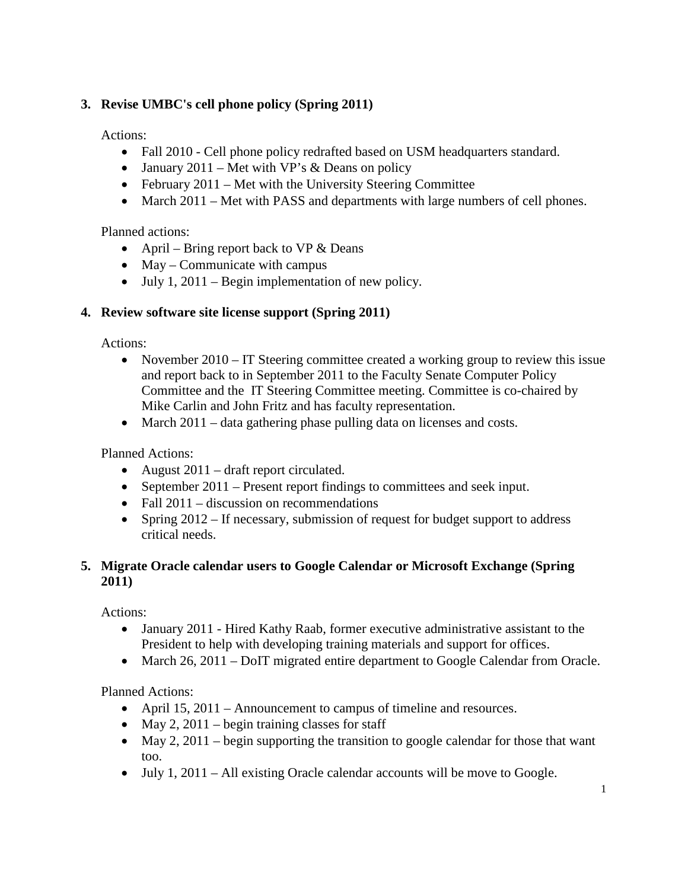## **3. Revise UMBC's cell phone policy (Spring 2011)**

Actions:

- Fall 2010 Cell phone policy redrafted based on USM headquarters standard.
- January 2011 Met with VP's  $&$  Deans on policy
- February 2011 Met with the University Steering Committee
- March 2011 Met with PASS and departments with large numbers of cell phones.

Planned actions:

- April Bring report back to VP  $&$  Deans
- May Communicate with campus
- July 1, 2011 Begin implementation of new policy.

#### **4. Review software site license support (Spring 2011)**

Actions:

- November 2010 IT Steering committee created a working group to review this issue and report back to in September 2011 to the Faculty Senate Computer Policy Committee and the IT Steering Committee meeting. Committee is co-chaired by Mike Carlin and John Fritz and has faculty representation.
- March 2011 data gathering phase pulling data on licenses and costs.

Planned Actions:

- August 2011 draft report circulated.
- September 2011 Present report findings to committees and seek input.
- Fall 2011 discussion on recommendations
- Spring 2012 If necessary, submission of request for budget support to address critical needs.

#### **5. Migrate Oracle calendar users to Google Calendar or Microsoft Exchange (Spring 2011)**

Actions:

- January 2011 Hired Kathy Raab, former executive administrative assistant to the President to help with developing training materials and support for offices.
- March 26, 2011 DoIT migrated entire department to Google Calendar from Oracle.

Planned Actions:

- April 15, 2011 Announcement to campus of timeline and resources.
- May 2, 2011 begin training classes for staff
- May 2, 2011 begin supporting the transition to google calendar for those that want too.
- July 1, 2011 All existing Oracle calendar accounts will be move to Google.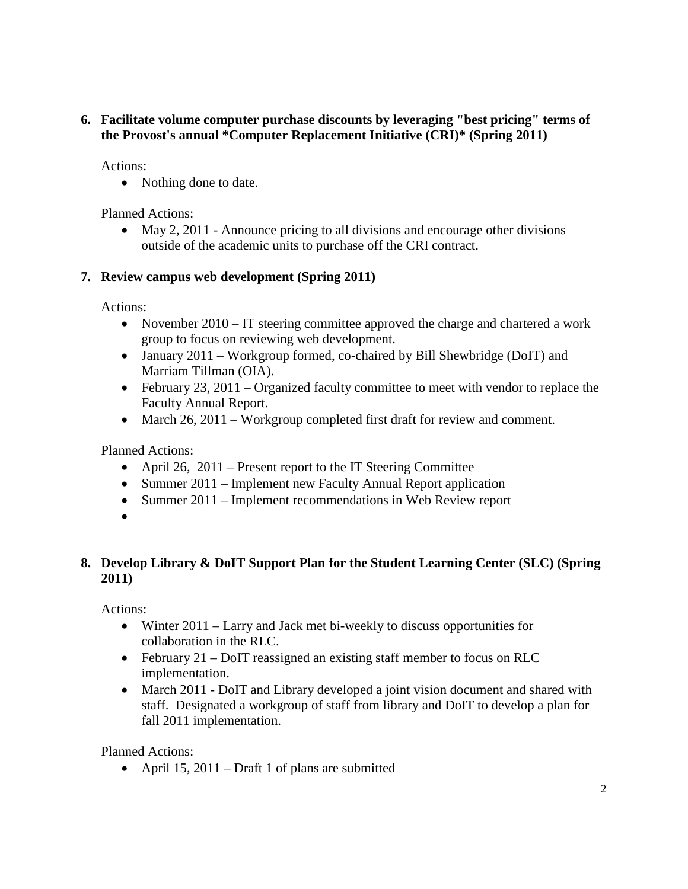#### **6. Facilitate volume computer purchase discounts by leveraging "best pricing" terms of the Provost's annual \*Computer Replacement Initiative (CRI)\* (Spring 2011)**

Actions:

• Nothing done to date.

Planned Actions:

• May 2, 2011 - Announce pricing to all divisions and encourage other divisions outside of the academic units to purchase off the CRI contract.

## **7. Review campus web development (Spring 2011)**

Actions:

- November 2010 IT steering committee approved the charge and chartered a work group to focus on reviewing web development.
- January 2011 Workgroup formed, co-chaired by Bill Shewbridge (DoIT) and Marriam Tillman (OIA).
- February 23, 2011 Organized faculty committee to meet with vendor to replace the Faculty Annual Report.
- March 26, 2011 Workgroup completed first draft for review and comment.

Planned Actions:

- April 26, 2011 Present report to the IT Steering Committee
- Summer 2011 Implement new Faculty Annual Report application
- Summer 2011 Implement recommendations in Web Review report
- •

### **8. Develop Library & DoIT Support Plan for the Student Learning Center (SLC) (Spring 2011)**

Actions:

- Winter 2011 Larry and Jack met bi-weekly to discuss opportunities for collaboration in the RLC.
- February 21 DoIT reassigned an existing staff member to focus on RLC implementation.
- March 2011 DoIT and Library developed a joint vision document and shared with staff. Designated a workgroup of staff from library and DoIT to develop a plan for fall 2011 implementation.

Planned Actions:

• April 15, 2011 – Draft 1 of plans are submitted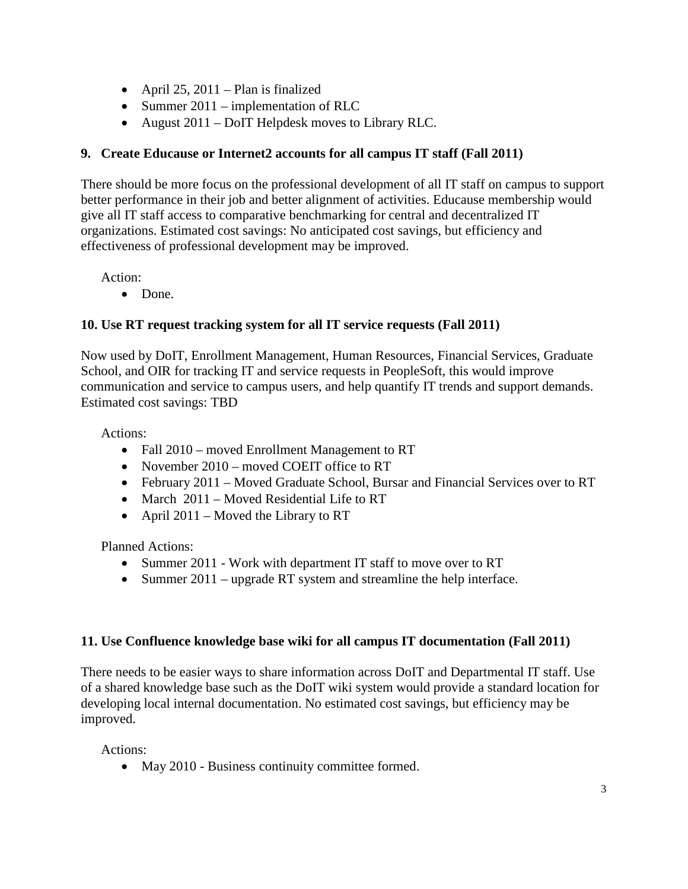- April 25, 2011 Plan is finalized
- Summer 2011 implementation of RLC
- August 2011 DoIT Helpdesk moves to Library RLC.

#### **9. Create Educause or Internet2 accounts for all campus IT staff (Fall 2011)**

There should be more focus on the professional development of all IT staff on campus to support better performance in their job and better alignment of activities. Educause membership would give all IT staff access to comparative benchmarking for central and decentralized IT organizations. Estimated cost savings: No anticipated cost savings, but efficiency and effectiveness of professional development may be improved.

Action:

• Done.

### **10. Use RT request tracking system for all IT service requests (Fall 2011)**

Now used by DoIT, Enrollment Management, Human Resources, Financial Services, Graduate School, and OIR for tracking IT and service requests in PeopleSoft, this would improve communication and service to campus users, and help quantify IT trends and support demands. Estimated cost savings: TBD

Actions:

- Fall 2010 moved Enrollment Management to RT
- November 2010 moved COEIT office to RT
- February 2011 Moved Graduate School, Bursar and Financial Services over to RT
- March 2011 Moved Residential Life to RT
- April 2011 Moved the Library to RT

Planned Actions:

- Summer 2011 Work with department IT staff to move over to RT
- Summer 2011 upgrade RT system and streamline the help interface.

#### **11. Use Confluence knowledge base wiki for all campus IT documentation (Fall 2011)**

There needs to be easier ways to share information across DoIT and Departmental IT staff. Use of a shared knowledge base such as the DoIT wiki system would provide a standard location for developing local internal documentation. No estimated cost savings, but efficiency may be improved.

Actions:

• May 2010 - Business continuity committee formed.